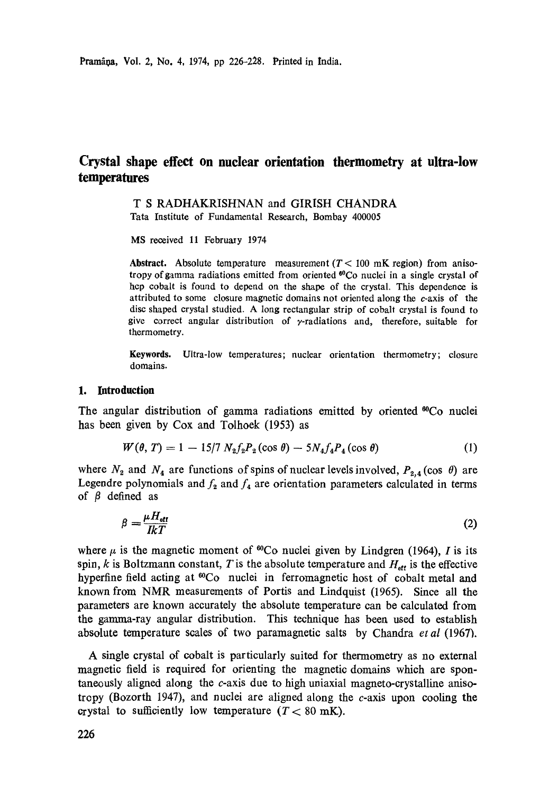# **Crystal shape effect on nuclear orientation thermometry at ultra-low temperatures**

T S RADHAKRISHNAN and GIRISH CHANDRA Tata Institute of Fundamental Research, Bombay 400005

MS received 11 February 1974

**Abstract.** Absolute temperature measurement  $(T < 100$  mK region) from anisotropy of gamma radiations emitted from oriented <sup>60</sup>Co nuclei in a single crystal of hcp cobalt is found to depend on the shape of the crystal. This dependence is attributed to some closure magnetic domains not oriented along the c-axis of the disc shaped crystal studied. A long rectangular strip of cobalt crystal is found to give correct angular distribution of  $\gamma$ -radiations and, therefore, suitable for thermometry.

Keywords. Ultra-low temperatures; nuclear orientation thermometry; closure domains.

## **1. Introduction**

The angular distribution of gamma radiations emitted by oriented  $^{60}Co$  nuclei has been given by Cox and Tolhoek (1953) as

$$
W(\theta, T) = 1 - 15/7 N_2 f_2 P_2(\cos \theta) - 5N_4 f_4 P_4(\cos \theta)
$$
 (1)

where  $N_2$  and  $N_4$  are functions of spins of nuclear levels involved,  $P_{2,4}(\cos \theta)$  are Legendre polynomials and  $f_2$  and  $f_4$  are orientation parameters calculated in terms of  $\beta$  defined as

$$
\beta = \frac{\mu H_{\text{eff}}}{IkT} \tag{2}
$$

where  $\mu$  is the magnetic moment of <sup>60</sup>Co nuclei given by Lindgren (1964), *I* is its spin, k is Boltzmann constant, T is the absolute temperature and  $H_{\text{eff}}$  is the effective hyperfine field acting at <sup>60</sup>Co nuclei in ferromagnetic host of cobalt metal and known from NMR measurements of Portis and Lindquist (1965). Since all the parameters are known accurately the absolute temperature can be calculated from the gamma-ray angular distribution. This technique has been used to establish absolute temperature scales of two paramagnetic salts by Chandra *et al* (1967).

A single crystal of cobalt is particularly suited for thermometry as no external magnetic field is required for orienting the magnetic domains which are spontaneously aligned along the  $c$ -axis due to high uniaxial magneto-crystalline anisotropy (Bozorth 1947), and nuclei are aligned along the  $c$ -axis upon cooling the crystal to sufficiently low temperature  $(T < 80 \text{ mK})$ .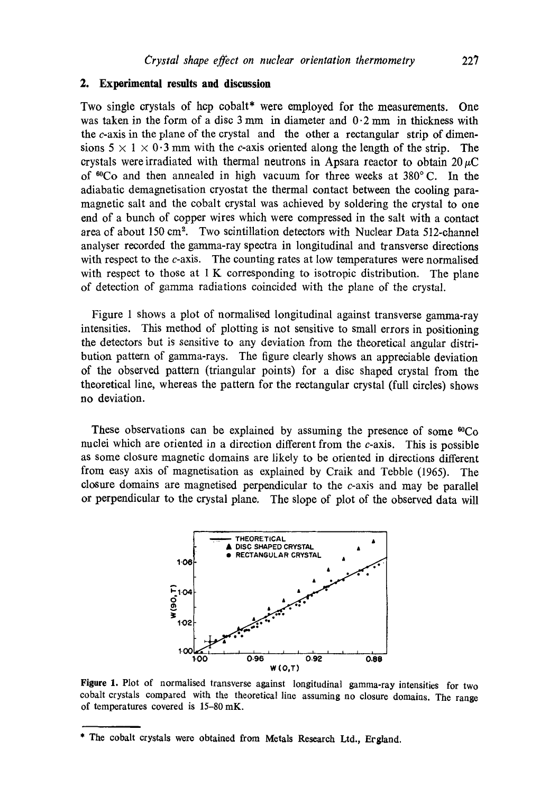## **2. Experimental results and discussion**

Two single crystals of hcp cobalt\* were employed for the measurements. One was taken in the form of a disc  $3 \text{ mm}$  in diameter and  $0.2 \text{ mm}$  in thickness with the c-axis in the plane of the crystal and the other a rectangular strip of dimensions  $5 \times 1 \times 0.3$  mm with the c-axis oriented along the length of the strip. The crystals were irradiated with thermal neutrons in Apsara reactor to obtain  $20~\mu$ C of  ${}^{60}Co$  and then annealed in high vacuum for three weeks at  $380^{\circ}$  C. In the adiabatic demagnetisation cryostat the thermal contact between the cooling paramagnetic salt and the cobalt crystal was achieved by soldering the crystal to one end of a bunch of copper wires which were compressed in the salt with a contact area of about 150 cm<sup>2</sup>. Two scintillation detectors with Nuclear Data 512-channel analyser recorded the gamma-ray spectra in longitudinal and transverse directions with respect to the c-axis. The counting rates at low temperatures were normalised with respect to those at 1 K corresponding to isotropic distribution. The plane of detection of gamma radiations coincided with the plane of the crystal.

Figure 1 shows a plot of normalised longitudinal against transverse gamma-ray intensities. This method of plotting is not sensitive to small errors in positioning the detectors but is sensitive to any deviation from the theoretical angular distribution pattern of gamma-rays. The figure clearly shows an appreciable deviation of the observed pattern (triangular points) for a disc shaped crystal from the theoretical line, whereas the pattern for the rectangular crystal (full circles) shows no deviation.

These observations can be explained by assuming the presence of some  ${}^{60}Co$ nuclei which are oriented in a direction different from the c-axis. This is possible as some closure magnetic domains are likely to be oriented in directions different from easy axis of magnetisation as explained by Craik and Tebble (1965). The closure domains are magnetised perpendicular to the c-axis and may be parallel or perpendicular to the crystal plane. The slope of plot of the observed data will



**Figure** 1. Plot of normalised transverse against longitudinal gamma-ray intensities for two cobalt crystals compared with the theoretical line assuming no closure domains. The range of temperatures covered is 15-80 mK.

<sup>\*</sup> The cobalt crystals were obtained from Metals Research Ltd., Ergland.